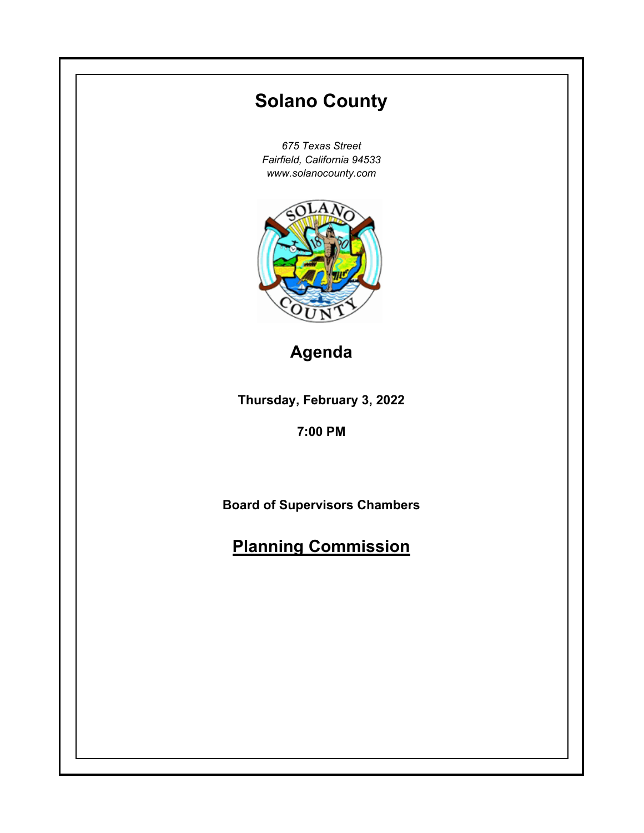# **Thursday, February 3, 2022 7:00 PM Solano County** *675 Texas Street Fairfield, California 94533 www.solanocounty.com* **Board of Supervisors Chambers Planning Commission Agenda**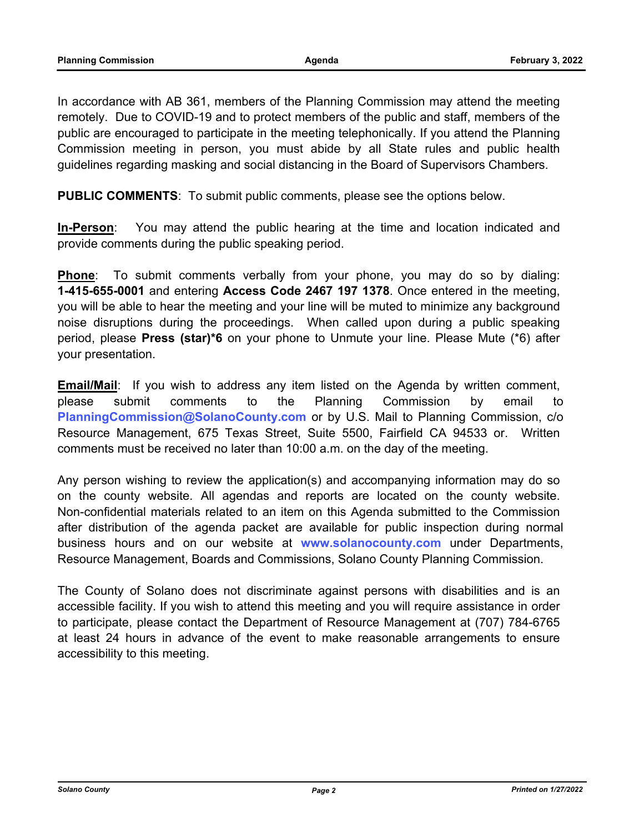In accordance with AB 361, members of the Planning Commission may attend the meeting remotely. Due to COVID-19 and to protect members of the public and staff, members of the public are encouraged to participate in the meeting telephonically. If you attend the Planning Commission meeting in person, you must abide by all State rules and public health guidelines regarding masking and social distancing in the Board of Supervisors Chambers.

**PUBLIC COMMENTS**: To submit public comments, please see the options below.

**In-Person**: You may attend the public hearing at the time and location indicated and provide comments during the public speaking period.

**Phone**: To submit comments verbally from your phone, you may do so by dialing: **1-415-655-0001** and entering **Access Code 2467 197 1378**. Once entered in the meeting, you will be able to hear the meeting and your line will be muted to minimize any background noise disruptions during the proceedings. When called upon during a public speaking period, please **Press (star)\*6** on your phone to Unmute your line. Please Mute (\*6) after your presentation.

**Email/Mail**: If you wish to address any item listed on the Agenda by written comment, please submit comments to the Planning Commission by email to **PlanningCommission@SolanoCounty.com** or by U.S. Mail to Planning Commission, c/o Resource Management, 675 Texas Street, Suite 5500, Fairfield CA 94533 or. Written comments must be received no later than 10:00 a.m. on the day of the meeting.

Any person wishing to review the application(s) and accompanying information may do so on the county website. All agendas and reports are located on the county website. Non-confidential materials related to an item on this Agenda submitted to the Commission after distribution of the agenda packet are available for public inspection during normal business hours and on our website at **www.solanocounty.com** under Departments, Resource Management, Boards and Commissions, Solano County Planning Commission.

The County of Solano does not discriminate against persons with disabilities and is an accessible facility. If you wish to attend this meeting and you will require assistance in order to participate, please contact the Department of Resource Management at (707) 784-6765 at least 24 hours in advance of the event to make reasonable arrangements to ensure accessibility to this meeting.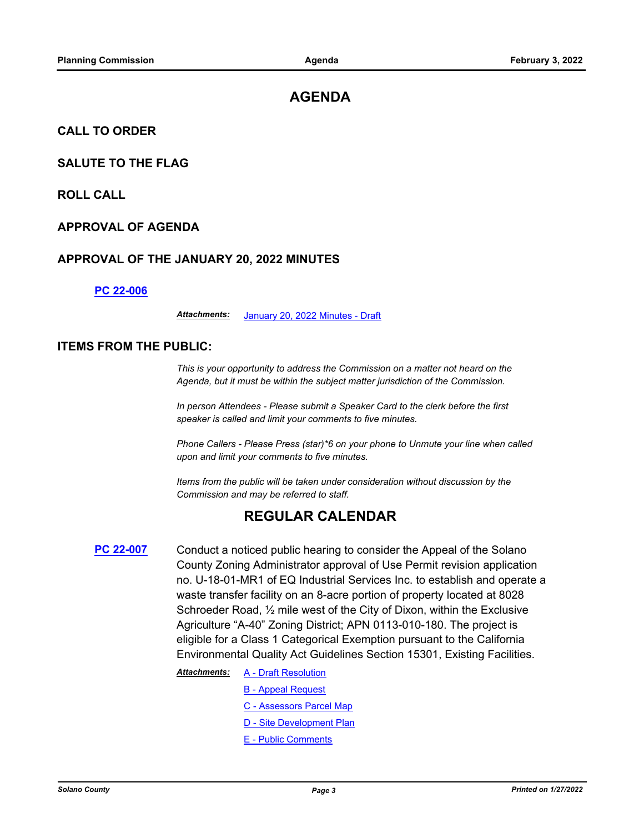# **AGENDA**

## **CALL TO ORDER**

## **SALUTE TO THE FLAG**

**ROLL CALL**

### **APPROVAL OF AGENDA**

## **APPROVAL OF THE JANUARY 20, 2022 MINUTES**

#### **[PC 22-006](http://solano.legistar.com/gateway.aspx?m=l&id=/matter.aspx?key=16664)**

*Attachments:* [January 20, 2022 Minutes - Draft](http://solano.legistar.com/gateway.aspx?M=F&ID=8abe0fb8-4ec8-499e-b180-2c9d916cfe54.pdf)

## **ITEMS FROM THE PUBLIC:**

*This is your opportunity to address the Commission on a matter not heard on the Agenda, but it must be within the subject matter jurisdiction of the Commission.* 

*In person Attendees - Please submit a Speaker Card to the clerk before the first speaker is called and limit your comments to five minutes.* 

*Phone Callers - Please Press (star)\*6 on your phone to Unmute your line when called upon and limit your comments to five minutes.* 

*Items from the public will be taken under consideration without discussion by the Commission and may be referred to staff.*

## **REGULAR CALENDAR**

**[PC 22-007](http://solano.legistar.com/gateway.aspx?m=l&id=/matter.aspx?key=16665)** Conduct a noticed public hearing to consider the Appeal of the Solano County Zoning Administrator approval of Use Permit revision application no. U-18-01-MR1 of EQ Industrial Services Inc. to establish and operate a waste transfer facility on an 8-acre portion of property located at 8028 Schroeder Road, ½ mile west of the City of Dixon, within the Exclusive Agriculture "A-40" Zoning District; APN 0113-010-180. The project is eligible for a Class 1 Categorical Exemption pursuant to the California Environmental Quality Act Guidelines Section 15301, Existing Facilities.

*Attachments:*

- [A Draft Resolution](http://solano.legistar.com/gateway.aspx?M=F&ID=ecf41b98-eda4-4ae7-908d-6f0a8dc7c620.pdf)
	- [B Appeal Request](http://solano.legistar.com/gateway.aspx?M=F&ID=6505d7f1-a678-485f-98be-ba50cc3e5d32.pdf)
	- [C Assessors Parcel Map](http://solano.legistar.com/gateway.aspx?M=F&ID=83758aaf-ce26-4a61-b14f-bd838a8ccc8e.pdf)
	- [D Site Development Plan](http://solano.legistar.com/gateway.aspx?M=F&ID=f28ab297-dc03-4282-a971-6f3c778b1d59.pdf)
	- [E Public Comments](http://solano.legistar.com/gateway.aspx?M=F&ID=3e00a4f0-8446-44f4-95d1-da5ba67586ac.pdf)